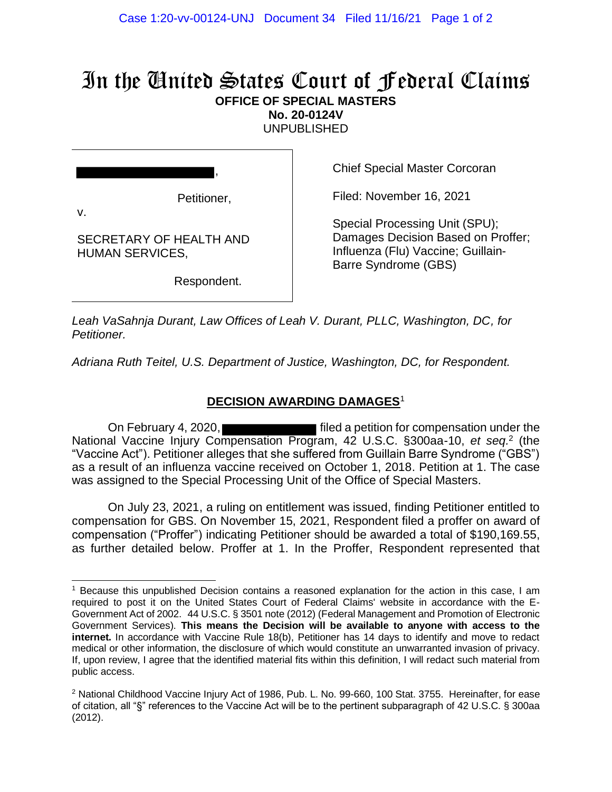## In the United States Court of Federal Claims **OFFICE OF SPECIAL MASTERS**

**No. 20-0124V**

UNPUBLISHED

Petitioner,

,

SECRETARY OF HEALTH AND HUMAN SERVICES,

Respondent.

Chief Special Master Corcoran

Filed: November 16, 2021

Special Processing Unit (SPU); Damages Decision Based on Proffer; Influenza (Flu) Vaccine; Guillain-Barre Syndrome (GBS)

*Leah VaSahnja Durant, Law Offices of Leah V. Durant, PLLC, Washington, DC, for Petitioner.*

*Adriana Ruth Teitel, U.S. Department of Justice, Washington, DC, for Respondent.*

## **DECISION AWARDING DAMAGES**<sup>1</sup>

On February 4, 2020, **Filter** 1 filed a petition for compensation under the National Vaccine Injury Compensation Program, 42 U.S.C. §300aa-10, et seq.<sup>2</sup> (the "Vaccine Act"). Petitioner alleges that she suffered from Guillain Barre Syndrome ("GBS") as a result of an influenza vaccine received on October 1, 2018. Petition at 1. The case was assigned to the Special Processing Unit of the Office of Special Masters.

On July 23, 2021, a ruling on entitlement was issued, finding Petitioner entitled to compensation for GBS. On November 15, 2021, Respondent filed a proffer on award of compensation ("Proffer") indicating Petitioner should be awarded a total of \$190,169.55, as further detailed below. Proffer at 1. In the Proffer, Respondent represented that

<sup>1</sup> Because this unpublished Decision contains a reasoned explanation for the action in this case, I am required to post it on the United States Court of Federal Claims' website in accordance with the E-Government Act of 2002. 44 U.S.C. § 3501 note (2012) (Federal Management and Promotion of Electronic Government Services). **This means the Decision will be available to anyone with access to the internet.** In accordance with Vaccine Rule 18(b), Petitioner has 14 days to identify and move to redact medical or other information, the disclosure of which would constitute an unwarranted invasion of privacy. If, upon review, I agree that the identified material fits within this definition, I will redact such material from public access.

<sup>&</sup>lt;sup>2</sup> National Childhood Vaccine Injury Act of 1986, Pub. L. No. 99-660, 100 Stat. 3755. Hereinafter, for ease of citation, all "§" references to the Vaccine Act will be to the pertinent subparagraph of 42 U.S.C. § 300aa (2012).